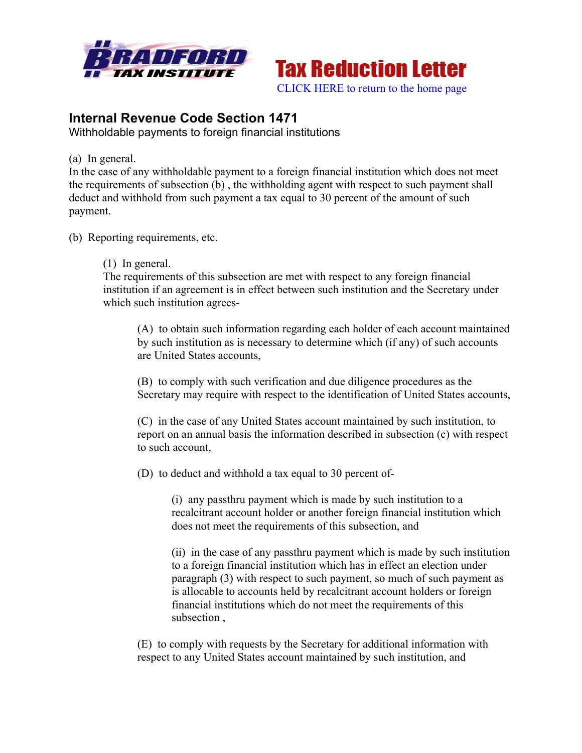



## **Internal Revenue Code Section 1471**

Withholdable payments to foreign financial institutions

(a) In general.

In the case of any withholdable payment to a foreign financial institution which does not meet the requirements of subsection (b) , the withholding agent with respect to such payment shall deduct and withhold from such payment a tax equal to 30 percent of the amount of such payment.

(b) Reporting requirements, etc.

(1) In general.

The requirements of this subsection are met with respect to any foreign financial institution if an agreement is in effect between such institution and the Secretary under which such institution agrees-

(A) to obtain such information regarding each holder of each account maintained by such institution as is necessary to determine which (if any) of such accounts are United States accounts,

(B) to comply with such verification and due diligence procedures as the Secretary may require with respect to the identification of United States accounts,

(C) in the case of any United States account maintained by such institution, to report on an annual basis the information described in subsection (c) with respect to such account

(D) to deduct and withhold a tax equal to 30 percent of-

(i) any passthru payment which is made by such institution to a recalcitrant account holder or another foreign financial institution which does not meet the requirements of this subsection, and

(ii) in the case of any passthru payment which is made by such institution to a foreign financial institution which has in effect an election under paragraph (3) with respect to such payment, so much of such payment as is allocable to accounts held by recalcitrant account holders or foreign financial institutions which do not meet the requirements of this subsection ,

(E) to comply with requests by the Secretary for additional information with respect to any United States account maintained by such institution, and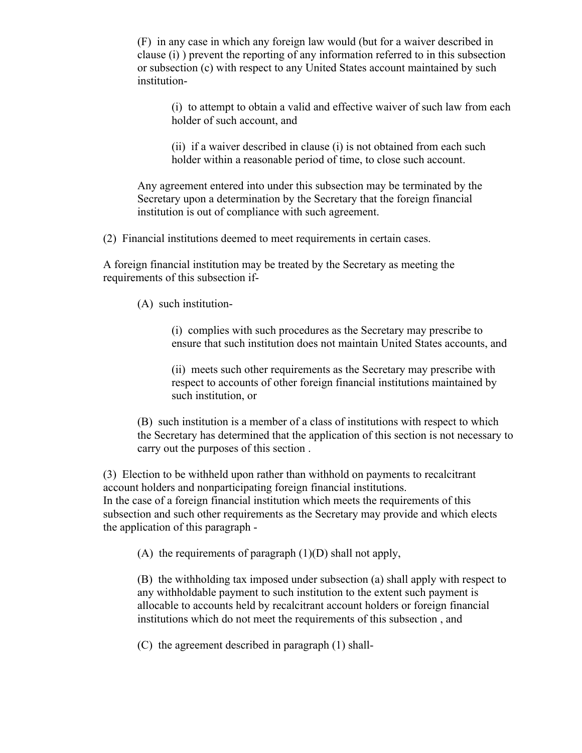(F) in any case in which any foreign law would (but for a waiver described in clause (i) ) prevent the reporting of any information referred to in this subsection or subsection (c) with respect to any United States account maintained by such institution-

(i) to attempt to obtain a valid and effective waiver of such law from each holder of such account, and

(ii) if a waiver described in clause (i) is not obtained from each such holder within a reasonable period of time, to close such account.

Any agreement entered into under this subsection may be terminated by the Secretary upon a determination by the Secretary that the foreign financial institution is out of compliance with such agreement.

(2) Financial institutions deemed to meet requirements in certain cases.

A foreign financial institution may be treated by the Secretary as meeting the requirements of this subsection if-

(A) such institution-

(i) complies with such procedures as the Secretary may prescribe to ensure that such institution does not maintain United States accounts, and

(ii) meets such other requirements as the Secretary may prescribe with respect to accounts of other foreign financial institutions maintained by such institution, or

(B) such institution is a member of a class of institutions with respect to which the Secretary has determined that the application of this section is not necessary to carry out the purposes of this section .

(3) Election to be withheld upon rather than withhold on payments to recalcitrant account holders and nonparticipating foreign financial institutions. In the case of a foreign financial institution which meets the requirements of this subsection and such other requirements as the Secretary may provide and which elects the application of this paragraph -

(A) the requirements of paragraph  $(1)(D)$  shall not apply,

(B) the withholding tax imposed under subsection (a) shall apply with respect to any withholdable payment to such institution to the extent such payment is allocable to accounts held by recalcitrant account holders or foreign financial institutions which do not meet the requirements of this subsection , and

(C) the agreement described in paragraph (1) shall-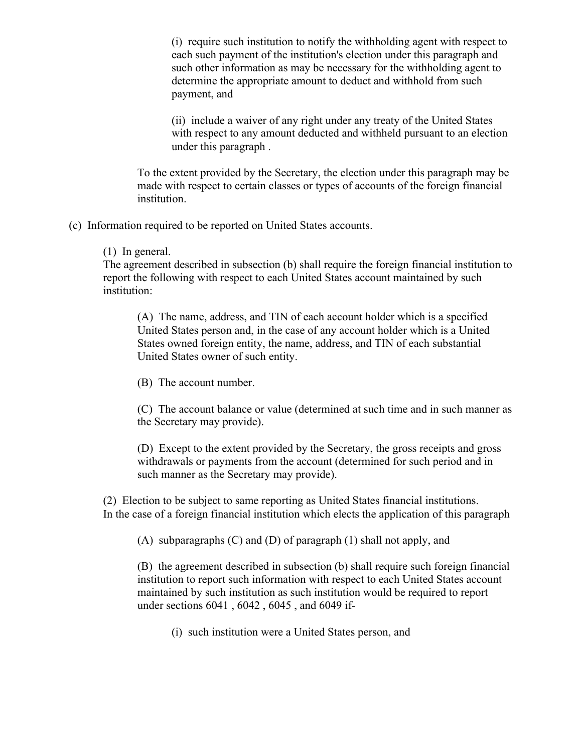(i) require such institution to notify the withholding agent with respect to each such payment of the institution's election under this paragraph and such other information as may be necessary for the withholding agent to determine the appropriate amount to deduct and withhold from such payment, and

(ii) include a waiver of any right under any treaty of the United States with respect to any amount deducted and withheld pursuant to an election under this paragraph .

To the extent provided by the Secretary, the election under this paragraph may be made with respect to certain classes or types of accounts of the foreign financial institution.

(c) Information required to be reported on United States accounts.

(1) In general.

The agreement described in subsection (b) shall require the foreign financial institution to report the following with respect to each United States account maintained by such institution:

(A) The name, address, and TIN of each account holder which is a specified United States person and, in the case of any account holder which is a United States owned foreign entity, the name, address, and TIN of each substantial United States owner of such entity.

(B) The account number.

(C) The account balance or value (determined at such time and in such manner as the Secretary may provide).

(D) Except to the extent provided by the Secretary, the gross receipts and gross withdrawals or payments from the account (determined for such period and in such manner as the Secretary may provide).

(2) Election to be subject to same reporting as United States financial institutions. In the case of a foreign financial institution which elects the application of this paragraph

(A) subparagraphs (C) and (D) of paragraph (1) shall not apply, and

(B) the agreement described in subsection (b) shall require such foreign financial institution to report such information with respect to each United States account maintained by such institution as such institution would be required to report under sections 6041 , 6042 , 6045 , and 6049 if-

(i) such institution were a United States person, and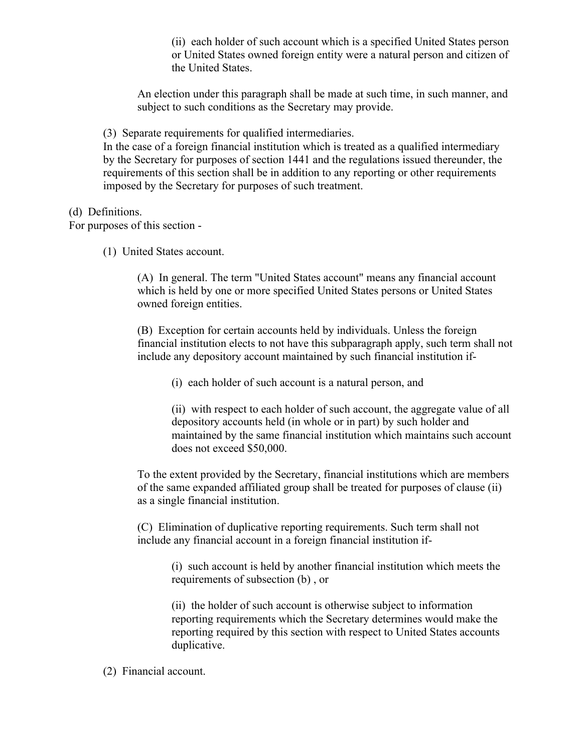(ii) each holder of such account which is a specified United States person or United States owned foreign entity were a natural person and citizen of the United States.

An election under this paragraph shall be made at such time, in such manner, and subject to such conditions as the Secretary may provide.

(3) Separate requirements for qualified intermediaries.

In the case of a foreign financial institution which is treated as a qualified intermediary by the Secretary for purposes of section 1441 and the regulations issued thereunder, the requirements of this section shall be in addition to any reporting or other requirements imposed by the Secretary for purposes of such treatment.

(d) Definitions.

For purposes of this section -

(1) United States account.

(A) In general. The term "United States account" means any financial account which is held by one or more specified United States persons or United States owned foreign entities.

(B) Exception for certain accounts held by individuals. Unless the foreign financial institution elects to not have this subparagraph apply, such term shall not include any depository account maintained by such financial institution if-

(i) each holder of such account is a natural person, and

(ii) with respect to each holder of such account, the aggregate value of all depository accounts held (in whole or in part) by such holder and maintained by the same financial institution which maintains such account does not exceed \$50,000.

To the extent provided by the Secretary, financial institutions which are members of the same expanded affiliated group shall be treated for purposes of clause (ii) as a single financial institution.

(C) Elimination of duplicative reporting requirements. Such term shall not include any financial account in a foreign financial institution if-

(i) such account is held by another financial institution which meets the requirements of subsection (b) , or

(ii) the holder of such account is otherwise subject to information reporting requirements which the Secretary determines would make the reporting required by this section with respect to United States accounts duplicative.

(2) Financial account.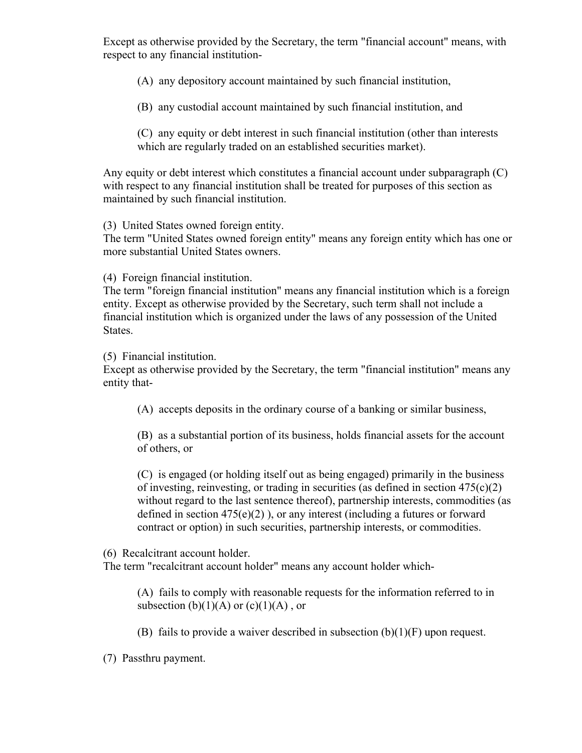Except as otherwise provided by the Secretary, the term "financial account" means, with respect to any financial institution-

(A) any depository account maintained by such financial institution,

(B) any custodial account maintained by such financial institution, and

(C) any equity or debt interest in such financial institution (other than interests which are regularly traded on an established securities market).

Any equity or debt interest which constitutes a financial account under subparagraph (C) with respect to any financial institution shall be treated for purposes of this section as maintained by such financial institution.

(3) United States owned foreign entity.

The term "United States owned foreign entity" means any foreign entity which has one or more substantial United States owners.

(4) Foreign financial institution.

The term "foreign financial institution" means any financial institution which is a foreign entity. Except as otherwise provided by the Secretary, such term shall not include a financial institution which is organized under the laws of any possession of the United States.

(5) Financial institution.

Except as otherwise provided by the Secretary, the term "financial institution" means any entity that-

(A) accepts deposits in the ordinary course of a banking or similar business,

(B) as a substantial portion of its business, holds financial assets for the account of others, or

(C) is engaged (or holding itself out as being engaged) primarily in the business of investing, reinvesting, or trading in securities (as defined in section  $475(c)(2)$ ) without regard to the last sentence thereof), partnership interests, commodities (as defined in section  $475(e)(2)$ ), or any interest (including a futures or forward contract or option) in such securities, partnership interests, or commodities.

(6) Recalcitrant account holder.

The term "recalcitrant account holder" means any account holder which-

(A) fails to comply with reasonable requests for the information referred to in subsection (b)(1)(A) or (c)(1)(A), or

(B) fails to provide a waiver described in subsection  $(b)(1)(F)$  upon request.

(7) Passthru payment.